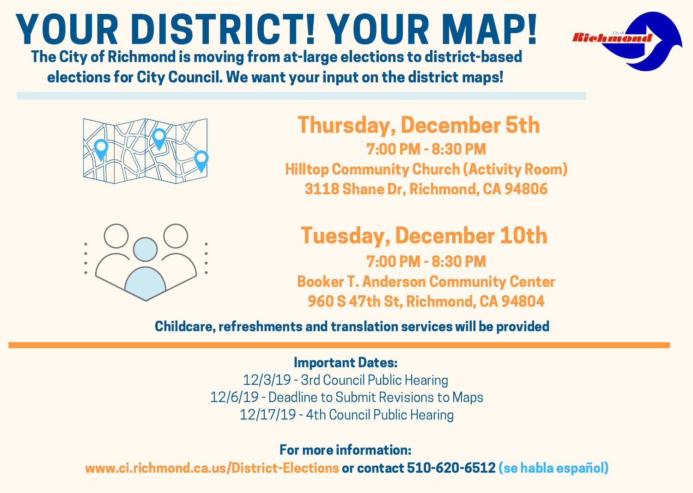# YOUR DISTRICT! YOUR MAP!

The City of Richmond is moving from at-large elections to district-based elections for City Council. We want your input on the district maps!



Thursday, December 5th 7:00 PM - 8:30 PM Hilltop Community Church (Activity Room) 3118 Shane Dr, Richmond, CA 94806



## Tuesday, December 10th

7:00 PM - 8:30 PM Booker T. Anderson Community Center 960 S 47th St, Richmond, CA 94804

Childcare, refreshments and translation services will be provided

#### Important Dates:

12/3/19 - 3rd Council Public Hearing 12/6/19 - Deadline to Submit Revisions to Maps 12/17/19 - 4th Council Public Hearing

For more information:

www.ci.richmond.ca.us/District-Elections or contact 510-620-6512 (se habla español)